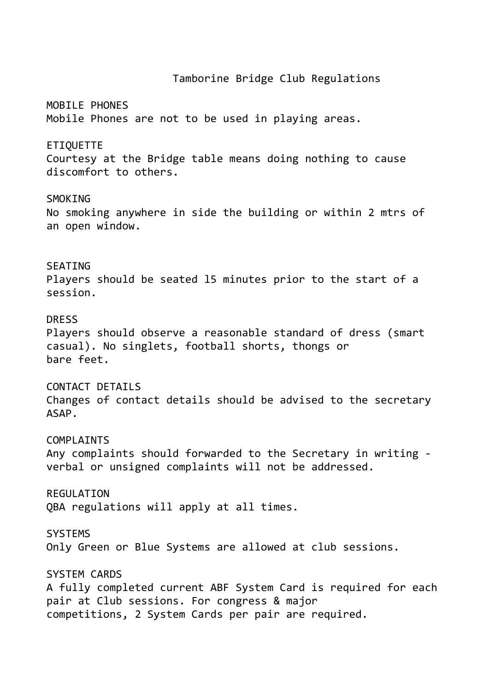#### Tamborine Bridge Club Regulations

MOBILE PHONES Mobile Phones are not to be used in playing areas.

ETIQUETTE

Courtesy at the Bridge table means doing nothing to cause discomfort to others.

**SMOKTNG** 

No smoking anywhere in side the building or within 2 mtrs of an open window.

### **SFATTNG**

Players should be seated l5 minutes prior to the start of a session.

### DRESS

Players should observe a reasonable standard of dress (smart casual). No singlets, football shorts, thongs or bare feet.

### CONTACT DETAILS

Changes of contact details should be advised to the secretary ASAP.

#### COMPI ATNTS

Any complaints should forwarded to the Secretary in writing verbal or unsigned complaints will not be addressed.

**REGULATION** QBA regulations will apply at all times.

SYSTEMS

Only Green or Blue Systems are allowed at club sessions.

#### SYSTEM CARDS

A fully completed current ABF System Card is required for each pair at Club sessions. For congress & major competitions, 2 System Cards per pair are required.